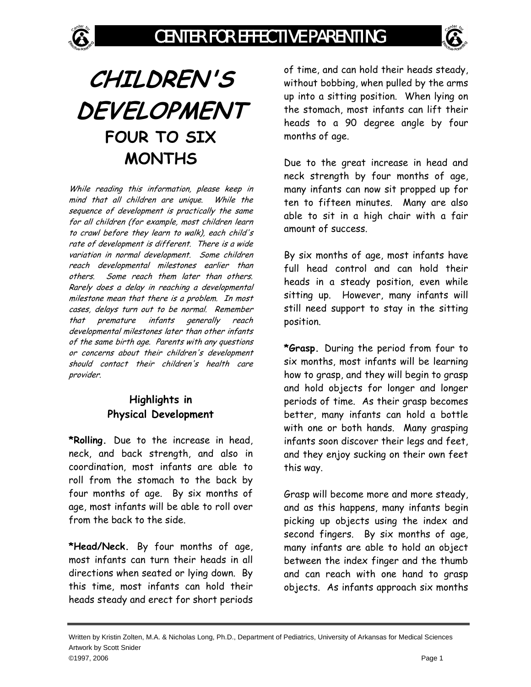

## **CHILDREN'S DEVELOPMENT FOUR TO SIX MONTHS**

While reading this information, please keep in mind that all children are unique. While the sequence of development is practically the same for all children (for example, most children learn to crawl before they learn to walk), each child's rate of development is different. There is a wide variation in normal development. Some children reach developmental milestones earlier than others. Some reach them later than others. Rarely does a delay in reaching a developmental milestone mean that there is a problem. In most cases, delays turn out to be normal. Remember that premature infants generally reach developmental milestones later than other infants of the same birth age. Parents with any questions or concerns about their children's development should contact their children's health care provider.

## **Highlights in Physical Development**

**\*Rolling.** Due to the increase in head, neck, and back strength, and also in coordination, most infants are able to roll from the stomach to the back by four months of age. By six months of age, most infants will be able to roll over from the back to the side.

**\*Head/Neck.** By four months of age, most infants can turn their heads in all directions when seated or lying down. By this time, most infants can hold their heads steady and erect for short periods

of time, and can hold their heads steady, without bobbing, when pulled by the arms up into a sitting position. When lying on the stomach, most infants can lift their heads to a 90 degree angle by four months of age.

Due to the great increase in head and neck strength by four months of age, many infants can now sit propped up for ten to fifteen minutes. Many are also able to sit in a high chair with a fair amount of success.

By six months of age, most infants have full head control and can hold their heads in a steady position, even while sitting up. However, many infants will still need support to stay in the sitting position.

**\*Grasp.** During the period from four to six months, most infants will be learning how to grasp, and they will begin to grasp and hold objects for longer and longer periods of time. As their grasp becomes better, many infants can hold a bottle with one or both hands. Many grasping infants soon discover their legs and feet, and they enjoy sucking on their own feet this way.

Grasp will become more and more steady, and as this happens, many infants begin picking up objects using the index and second fingers. By six months of age, many infants are able to hold an object between the index finger and the thumb and can reach with one hand to grasp objects. As infants approach six months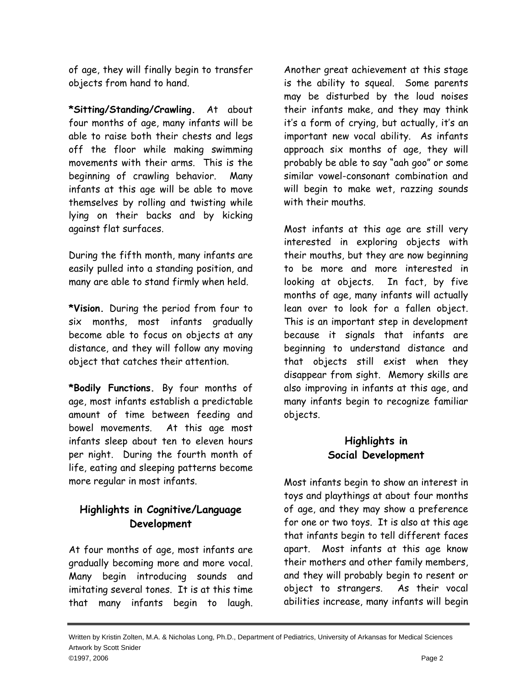of age, they will finally begin to transfer objects from hand to hand.

**\*Sitting/Standing/Crawling.** At about four months of age, many infants will be able to raise both their chests and legs off the floor while making swimming movements with their arms. This is the beginning of crawling behavior. Many infants at this age will be able to move themselves by rolling and twisting while lying on their backs and by kicking against flat surfaces.

During the fifth month, many infants are easily pulled into a standing position, and many are able to stand firmly when held.

**\*Vision.** During the period from four to six months, most infants gradually become able to focus on objects at any distance, and they will follow any moving object that catches their attention.

**\*Bodily Functions.** By four months of age, most infants establish a predictable amount of time between feeding and bowel movements. At this age most infants sleep about ten to eleven hours per night. During the fourth month of life, eating and sleeping patterns become more regular in most infants.

## **Highlights in Cognitive/Language Development**

At four months of age, most infants are gradually becoming more and more vocal. Many begin introducing sounds and imitating several tones. It is at this time that many infants begin to laugh. Another great achievement at this stage is the ability to squeal. Some parents may be disturbed by the loud noises their infants make, and they may think it's a form of crying, but actually, it's an important new vocal ability. As infants approach six months of age, they will probably be able to say "aah goo" or some similar vowel-consonant combination and will begin to make wet, razzing sounds with their mouths.

Most infants at this age are still very interested in exploring objects with their mouths, but they are now beginning to be more and more interested in looking at objects. In fact, by five months of age, many infants will actually lean over to look for a fallen object. This is an important step in development because it signals that infants are beginning to understand distance and that objects still exist when they disappear from sight. Memory skills are also improving in infants at this age, and many infants begin to recognize familiar objects.

## **Highlights in Social Development**

Most infants begin to show an interest in toys and playthings at about four months of age, and they may show a preference for one or two toys. It is also at this age that infants begin to tell different faces apart. Most infants at this age know their mothers and other family members, and they will probably begin to resent or object to strangers. As their vocal abilities increase, many infants will begin